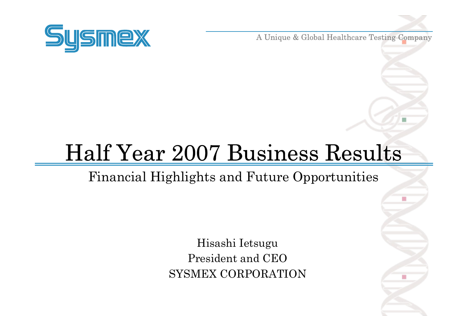

A Unique & Global Healthcare Testing Company

# Half Year 2007 Business Results

Financial Highlights and Future Opportunities

Hisashi Ietsugu President and CEOSYSMEX CORPORATION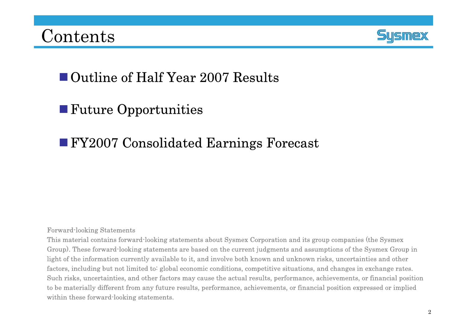

### ■ Outline of Half Year 2007 Results

### **Future Opportunities**

### FY2007 Consolidated Earnings Forecast

#### Forward-looking Statements

This material contains forward-looking statements about Sysmex Corporation and its group companies (the Sysmex Group). These forward-looking statements are based on the current judgments and assumptions of the Sysmex Group in light of the information currently available to it, and involve both known and unknown risks, uncertainties and other factors, including but not limited to: global economic conditions, competitive situations, and changes in exchange rates. Such risks, uncertainties, and other factors may cause the actual results, performance, achievements, or financial position to be materially different from any future results, performance, achievements, or financial position expressed or implied within these forward-looking statements.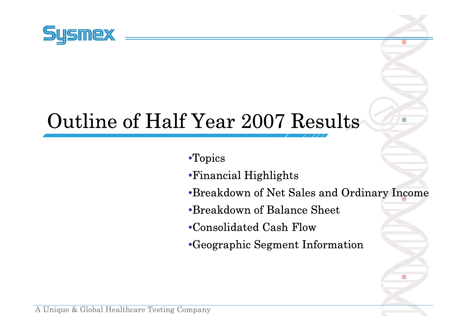

## Outline of Half Year 2007 Results

•Topics

- •Financial Highlights
- •Breakdown of Net Sales and Ordinary Income

п

- •Breakdown of Balance Sheet
- •Consolidated Cash Flow
- •Geographic Segment Information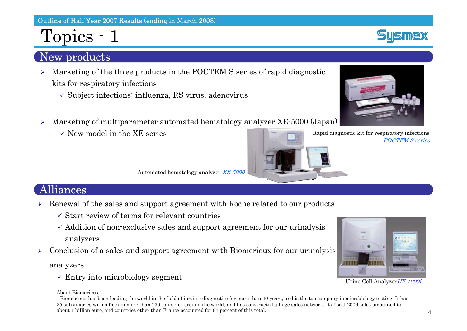### Topics - 1

### New products

- ¾ Marketing of the three products in the POCTEM S series of rapid diagnostic kits for respiratory infections
	- $\checkmark$  Subject infections: influenza, RS virus, adenovirus
- $\blacktriangleright$  Marketing of multiparameter automated hematology analyzer XE-5000 (Japan)
	- $\checkmark$  New model in the XE series

Rapid diagnostic kit for respiratory infections POCTEM S series

Automated hematology analyzer XE-5000

#### Alliances

- ¾ Renewal of the sales and support agreement with Roche related to our products
	- $\checkmark$  Start review of terms for relevant countries
	- $\checkmark$  Addition of non-exclusive sales and support agreement for our urinalysis analyzers
- $\blacktriangleright$ Conclusion of a sales and support agreement with Biomerieux for our urinalysis

analyzers

 $\checkmark$  Entry into microbiology segment

#### About Biomerieux

Biomerieux has been leading the world in the field of in-vitro diagnostics for more than 40 years, and is the top company in microbiology testing. It has 35 subsidiaries with offices in more than 150 countries around the world, and has constructed a huge sales network. Its fiscal 2006 sales amounted to about 1 billion euro, and countries other than France accounted for 83 percent of this total.



#### Urine Cell Analyzer UF-1000i



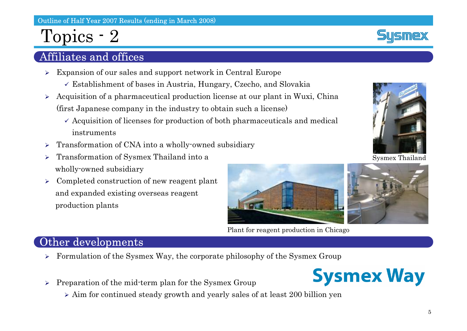### Topics - 2

#### Affiliates and offices

- ¾ Expansion of our sales and support network in Central Europe
	- $\checkmark$  Establishment of bases in Austria, Hungary, Czecho, and Slovakia
- ¾ Acquisition of a pharmaceutical production license at our plant in Wuxi, China (first Japanese company in the industry to obtain such a license)
	- $\checkmark$  Acquisition of licenses for production of both pharmaceuticals and medical instruments
- $\blacktriangleright$ Transformation of CNA into a wholly-owned subsidiary
- $\blacktriangleright$  Transformation of Sysmex Thailand into a wholly-owned subsidiary
- $\blacktriangleright$  Completed construction of new reagent plant and expanded existing overseas reagent production plants



Plant for reagent production in Chicago



Sysmex Thailand



#### Other developments

- ¾Formulation of the Sysmex Way, the corporate philosophy of the Sysmex Group
- ¾ Preparation of the mid-term plan for the Sysmex Group
	- ¾ Aim for continued steady growth and yearly sales of at least 200 billion yen



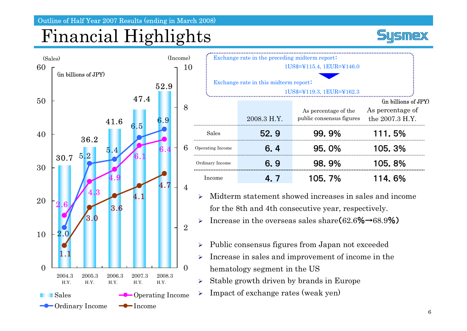## Financial Highlights





| Exchange rate in the preceding midterm report:                     |             |                                                  |                                                             |  |
|--------------------------------------------------------------------|-------------|--------------------------------------------------|-------------------------------------------------------------|--|
| 1US\$=¥115.4, 1EUR=¥146.0                                          |             |                                                  |                                                             |  |
| Exchange rate in this midterm report:<br>1US\$=¥119.3, 1EUR=¥162.3 |             |                                                  |                                                             |  |
|                                                                    | 2008.3 H.Y. | As percentage of the<br>public consensus figures | (in billions of JPY)<br>As percentage of<br>the 2007.3 H.Y. |  |
| Sales                                                              | 52.9        | 99.9%                                            | 111.5%                                                      |  |
| Operating Income                                                   | 6.4         | 95.0%                                            | 105.3%                                                      |  |
| Ordinary Income                                                    | 6.9         | 98.9%                                            | 105.8%                                                      |  |
| Income                                                             | 4. 7        | 105.7%                                           | 114.6%                                                      |  |

 $\blacktriangleright$  Midterm statement showed increases in sales and income for the 8th and 4th consecutive year, respectively.

 $\blacktriangleright$ > Increase in the overseas sales share  $(62.6\% \rightarrow 68.9\%)$ 

- $\blacktriangleright$ Public consensus figures from Japan not exceeded
- $\blacktriangleright$  Increase in sales and improvement of income in the hematology segment in the US
- $\blacktriangleright$ Stable growth driven by brands in Europe
- $\blacktriangleright$ Impact of exchange rates (weak yen)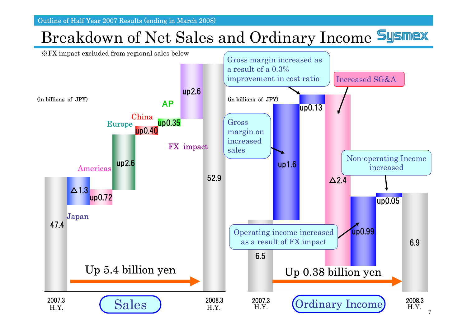Outline of Half Year 2007 Results (ending in March 2008)

### Breakdown of Net Sales and Ordinary Income Sysmex

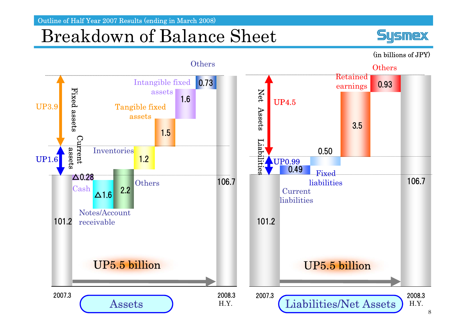Outline of Half Year 2007 Results (ending in March 2008)

### Breakdown of Balance Sheet



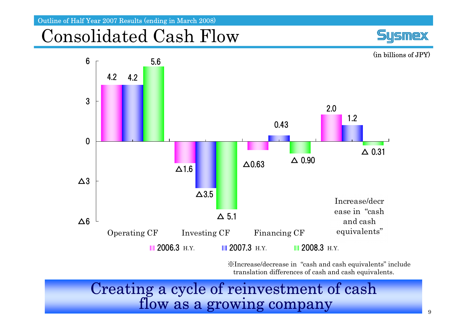Outline of Half Year 2007 Results (ending in March 2008)

### Consolidated Cash Flow





※Increase/decrease in "cash and cash equivalents" include translation differences of cash and cash equivalents.

Creating a cycle of reinvestment of cash flow as a growing company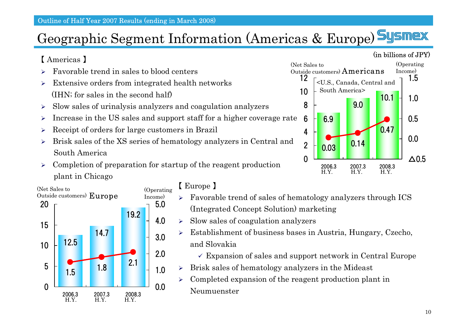### Geographic Segment Information (Americas & Europe)

#### 【 Americas 】

- ¾Favorable trend in sales to blood centers
- $\blacktriangleright$  Extensive orders from integrated health networks (IHN; for sales in the second half)
- $\blacktriangleright$ Slow sales of urinalysis analyzers and coagulation analyzers
- $\blacktriangleright$ Increase in the US sales and support staff for a higher coverage rate
- ¾Receipt of orders for large customers in Brazil
- $\blacktriangleright$  Brisk sales of the XS series of hematology analyzers in Central and South America
- $\blacktriangleright$  Completion of preparation for startup of the reagent production plant in Chicago



#### 【 Europe 】

- ¾ Favorable trend of sales of hematology analyzers through ICS (Integrated Concept Solution) marketing
- ¾Slow sales of coagulation analyzers
- $\blacktriangleright$  Establishment of business bases in Austria, Hungary, Czecho, and Slovakia
	- $\checkmark$  Expansion of sales and support network in Central Europe
- $\blacktriangleright$ Brisk sales of hematology analyzers in the Mideast
- $\blacktriangleright$  Completed expansion of the reagent production plant in Neumuenster

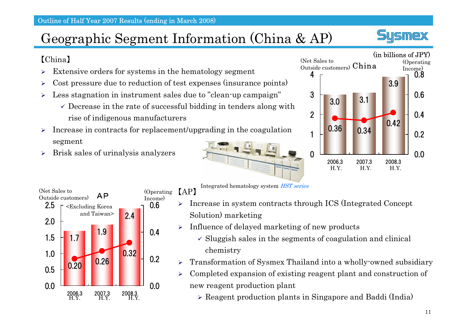### Geographic Segment Information (China & AP)

#### 【China】

- ¾Extensive orders for systems in the hematology segment
- ¾Cost pressure due to reduction of test expenses (insurance points)
- ¾ Less stagnation in instrument sales due to "clean-up campaign"
	- $\checkmark$  Decrease in the rate of successful bidding in tenders along with rise of indigenous manufacturers
- $\blacktriangleright$  Increase in contracts for replacement/upgrading in the coagulation segment





【AP】

- $\blacktriangleright$  Increase in system contracts through ICS (Integrated Concept Solution) marketing
- $\blacktriangleright$ Influence of delayed marketing of new products

Integrated hematology system HST series

- $\checkmark$  Sluggish sales in the segments of coagulation and clinical chemistry
- $\blacktriangleright$ Transformation of Sysmex Thailand into a wholly-owned subsidiary
- $\blacktriangleright$  Completed expansion of existing reagent plant and construction of new reagent production plant
	- ¾ Reagent production plants in Singapore and Baddi (India)



**Smex**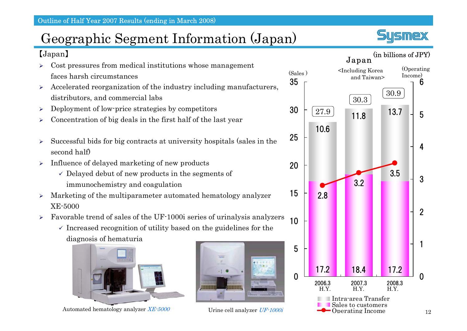【Japan】

### Geographic Segment Information (Japan)





- ¾ Cost pressures from medical institutions whose management faces harsh circumstances
- ¾ Accelerated reorganization of the industry including manufacturers, distributors, and commercial labs
- $\blacktriangleright$ Deployment of low-price strategies by competitors
- ¾Concentration of big deals in the first half of the last year
- ¾ Successful bids for big contracts at university hospitals (sales in the second half)
- ¾ Influence of delayed marketing of new products
	- $\checkmark$  Delayed debut of new products in the segments of immunochemistry and coagulation
- ¾ Marketing of the multiparameter automated hematology analyzer XE-5000
- ¾ Favorable trend of sales of the UF-1000i series of urinalysis analyzers
	- $\checkmark$  Increased recognition of utility based on the guidelines for the diagnosis of hematuria



Automated hematology analyzer  $XE-5000$  Urine cell analyzer UF-1000i

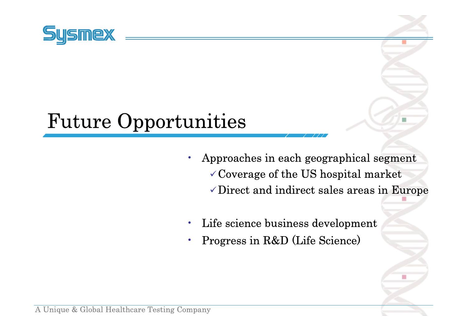

## Future Opportunities

• Approaches in each geographical segment  $\checkmark$  Coverage of the US hospital market  $\checkmark$  Direct and indirect sales areas in Europe

- •Life science business development
- •Progress in R&D (Life Science)

A Unique & Global Healthcare Testing Company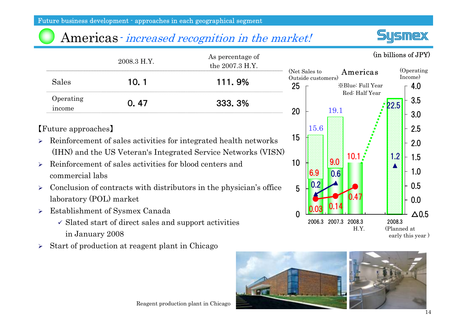### Americas - *increased recognition in the market!*

|                     | 2008.3 H.Y. | As percentage of<br>the 2007.3 H.Y. | $N\epsilon$ |
|---------------------|-------------|-------------------------------------|-------------|
| Sales               | 10.1        | <b>111.9%</b>                       | וו (        |
| Operating<br>income | 0.47        | 333.3%                              |             |

#### 【Future approaches】

- ¾ Reinforcement of sales activities for integrated health networks (IHN) and the US Veteran's Integrated Service Networks (VISN)
- ¾ Reinforcement of sales activities for blood centers and commercial labs
- $\blacktriangleright$  Conclusion of contracts with distributors in the physician's office laboratory (POL) market
- ¾ Establishment of Sysmex Canada
	- $\checkmark$  Slated start of direct sales and support activities in January 2008
- ¾Start of production at reagent plant in Chicago





early this year )

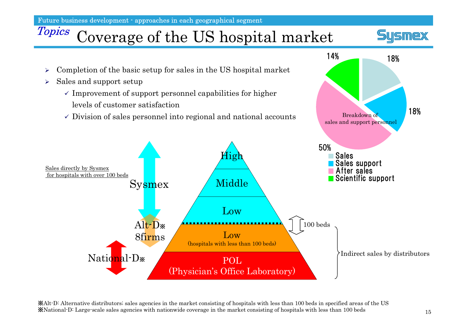Future business development - approaches in each geographical segment

## Topics Coverage of the US hospital market





※Alt-D: Alternative distributors; s ales agencies i n t he market consisting of hospitals with less t han 100beds i n s pecified areas of the U S※Natio nal-D: L arge-scale sales a gencies with n atio n wide covera ge i n t he market consistin g of hospitals with less th a n 100 be ds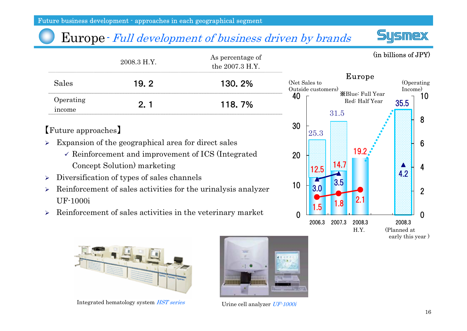### Europe- Full development of business driven by brands

|                             | 2008.3 H.Y. | As percentage of<br>the 2007.3 H.Y. | (in billions of JPY)                                                  |
|-----------------------------|-------------|-------------------------------------|-----------------------------------------------------------------------|
| Sales                       | - 2<br>19.  | 130.2%                              | Europe<br>(Net Sales to<br>Jperating<br>Outside customers)<br>Income. |
| <b>D</b> perating<br>income |             | 118.7%                              | XBlue: Full Year<br>ΙU<br>Red: Half Year<br>35.5                      |

【Future approaches】

- ¾ Expansion of the geographical area for direct sales
	- $\checkmark$  Reinforcement and improvement of ICS (Integrated Concept Solution) marketing
- $\blacktriangleright$ Diversification of types of sales channels
- ¾ Reinforcement of sales activities for the urinalysis analyzer UF-1000i
- ¾Reinforcement of sales activities in the veterinary market



**ILIGMAX** 



Integrated hematology system HST series



Urine cell analyzer UF-1000i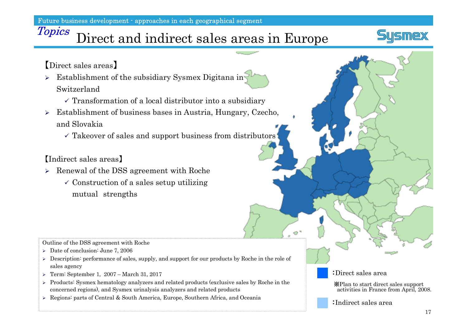Future business development - approaches in each geographical segment

## Topics Direct and indirect sales areas in Europe



【Direct sales areas 】

- ¾ Establishment of the subsidiary Sysmex Digitana in Switzerland
	- $\checkmark$  Transformation of a local distributor into a subsidiary
- ¾ Establishment of business bases in Austria, Hungary, Czecho, and Slovakia
	- $\checkmark$  Takeover of sales and support business from distributors

【Indirect sales areas】

- ¾ Renewal of the DSS agreement with Roche
	- $\checkmark$  Construction of a sales setup utilizing mutual strengths

Outline of the DSS agreement with Roche

- ¾ Date of conclusion: June 7, 2006
- $\triangleright$  Description: performance of sales, supply, and support for our products by Roche in the role of sales agency
- ¾ Term: September 1, 2007 March 31, 2017
- ¾ Products: Sysmex hematology analyzers and related products (exclusive sales by Roche in the concerned regions), and Sysmex urinalysis analyzers and related products
- ¾ Regions: parts of Central & South America, Europe, Southern Africa, and Oceania :Indirect sales area

#### :Direct sales area

e Tr

※Plan to start direct sales support activities in France from April, 2008.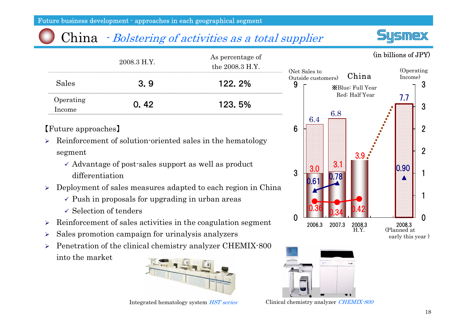Future business development - approaches in each geographical segment

### China *• Bolstering of activities as a total supplier*

|                     | 2008.3 H.Y. | As percentage of<br>the 2008.3 H.Y. | ίN |
|---------------------|-------------|-------------------------------------|----|
| Sales               | 3.9         | 122.2%                              |    |
| Operating<br>Income | 0.42        | 123.5%                              |    |

【Future approaches】

- ¾ Reinforcement of solution-oriented sales in the hematology segment
	- $\checkmark$  Advantage of post-sales support as well as product differentiation
- ¾ Deployment of sales measures adapted to each region in China
	- $\checkmark$  Push in proposals for upgrading in urban areas
	- $\checkmark$  Selection of tenders
- ¾Reinforcement of sales activities in the coagulation segment
- ¾Sales promotion campaign for urinalysis analyzers
- $\blacktriangleright$  Penetration of the clinical chemistry analyzer CHEMIX-800 into the market





(in billions of JPY)

<u>USMeX</u>



Integrated hematology system *HST series* Clinical chemistry analyzer *CHEMIX-800*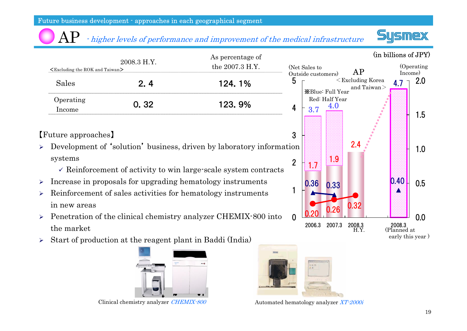#### - higher levels of performance and improvement of the medical infrastructure  ${\rm AP}$





【Future approaches】

- ¾ Development of 'solution' business, driven by laboratory information systems
	- $\checkmark$  Reinforcement of activity to win large-scale system contracts
- ¾Increase in proposals for upgrading hematology instruments
- ¾ Reinforcement of sales activities for hematology instruments in new areas
- ¾ Penetration of the clinical chemistry analyzer CHEMIX-800 into the market
- ¾Start of production at the reagent plant in Baddi (India)







Clinical chemistry analyzer CHEMIX-800 Automated hematology analyzer XT-2000i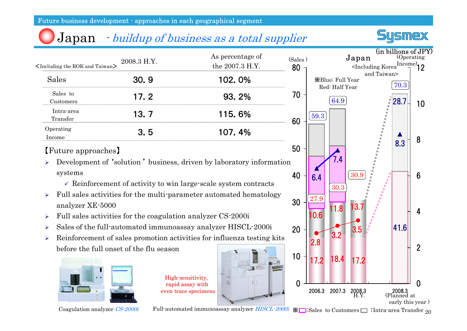### Japan - buildup of business as a total supplier



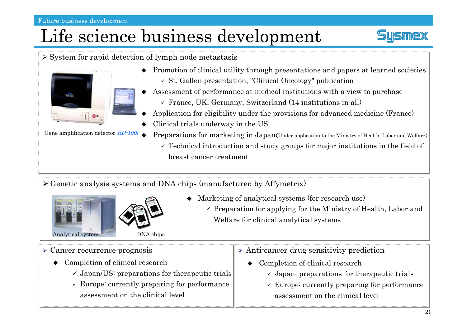#### Future business development

## Life science business development





Gene amplification detector RD-100i ◆

- ♦ Promotion of clinical utility through presentations and papers at learned societies
	- 9 St. Gallen presentation, "Clinical Oncology" publication
- ◆ Assessment of performance at medical institutions with a view to purchase
	- $\checkmark$  France, UK, Germany, Switzerland (14 institutions in all)
- ◆ Application for eligibility under the provisions for advanced medicine (France)
- ♦ Clinical trials underway in the US
	- Preparations for marketing in Japan(Under application to the Ministry of Health, Labor and Welfare)
		- $\checkmark$  Technical introduction and study groups for major institutions in the field of breast cancer treatment

 $\triangleright$  Genetic analysis systems and DNA chips (manufactured by Affymetrix)





- ◆ Marketing of analytical systems (for research use)
	- $\checkmark$  Preparation for applying for the Ministry of Health, Labor and Welfare for clinical analytical systems

- $\triangleright$  Cancer recurrence prognosis
	- ◆ Completion of clinical research
		- $\checkmark$  Japan/US: preparations for therapeutic trials
		- $\checkmark$  Europe: currently preparing for performance assessment on the clinical level
- $\triangleright$  Anti-cancer drug sensitivity prediction
	- ◆ Completion of clinical research
		- $\checkmark$  Japan: preparations for therapeutic trials
		- $\checkmark$  Europe: currently preparing for performance assessment on the clinical level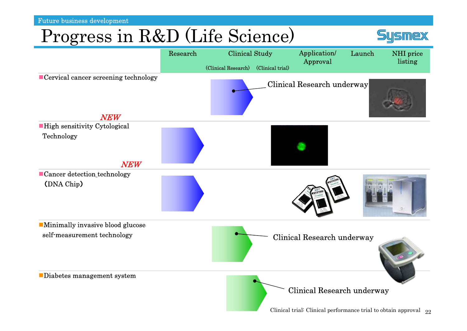F utu r e business developm e nt

## Progress in R&D (Life Science)



Clinical trial: Clinical performance trial to obtain approval  $\,$   $_{22}$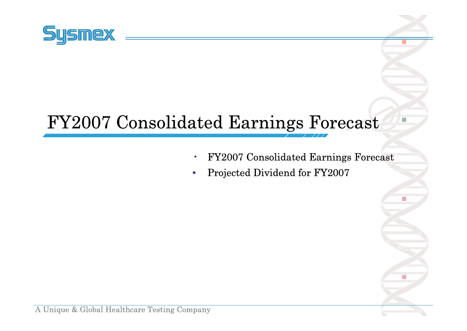

## FY2007 Consolidated Earnings Forecast

- •FY2007 Consolidated Earnings Forecast
- $\bullet$ Projected Dividend for FY2007

A Unique & Global Healthcare Testing Company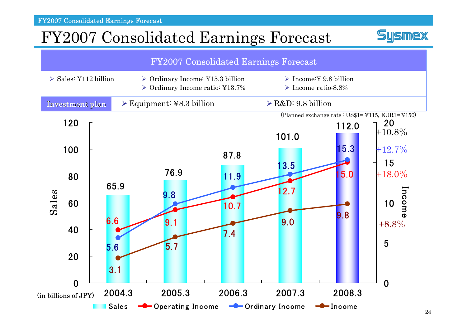FY2007 Consolidated Earnings Forecast

### FY2007 Consolidated Earnings Forecast



**Sysmex**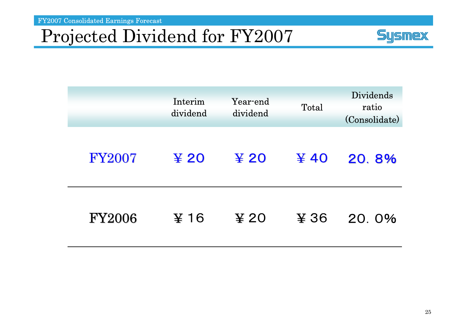FY2007 Consolidated Earnings Forecast

## Projected Dividend for FY2007



|               | Interim<br>dividend          | Year-end<br>dividend           | Total                  | <b>Dividends</b><br>ratio<br>(Consolidate) |
|---------------|------------------------------|--------------------------------|------------------------|--------------------------------------------|
| <b>FY2007</b> | $\boldsymbol{\mathsf{F}}$ 20 | $\boldsymbol{\mathfrak{X}}$ 20 | $\boldsymbol{\Psi}$ 40 | 20.8%                                      |
| <b>FY2006</b> | $\boldsymbol{\Psi}$ 16       | $\boldsymbol{\Psi}$ 20         | ¥ 36                   | 20.0%                                      |